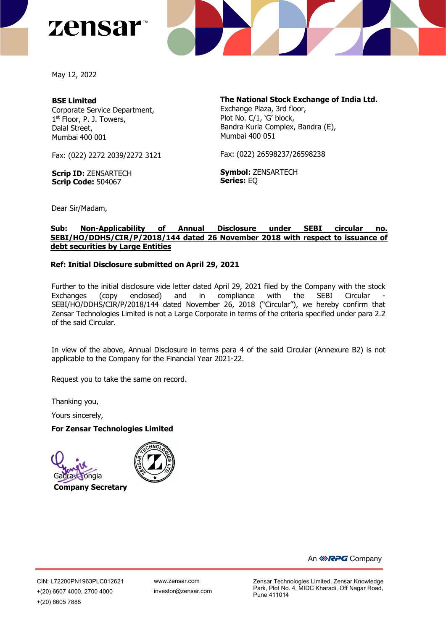



May 12, 2022

## **BSE Limited**

Corporate Service Department, 1st Floor, P. J. Towers, Dalal Street, Mumbai 400 001

Fax: (022) 2272 2039/2272 3121

**Scrip ID:** ZENSARTECH **Scrip Code:** 504067

**The National Stock Exchange of India Ltd.**

Exchange Plaza, 3rd floor, Plot No. C/1, 'G' block, Bandra Kurla Complex, Bandra (E), Mumbai 400 051

Fax: (022) 26598237/26598238

**Symbol:** ZENSARTECH **Series:** EQ

Dear Sir/Madam,

# **Sub: Non-Applicability of Annual Disclosure under SEBI circular no. SEBI/HO/DDHS/CIR/P/2018/144 dated 26 November 2018 with respect to issuance of debt securities by Large Entities**

## **Ref: Initial Disclosure submitted on April 29, 2021**

Further to the initial disclosure vide letter dated April 29, 2021 filed by the Company with the stock Exchanges (copy enclosed) and in compliance with the SEBI Circular - SEBI/HO/DDHS/CIR/P/2018/144 dated November 26, 2018 ("Circular"), we hereby confirm that Zensar Technologies Limited is not a Large Corporate in terms of the criteria specified under para 2.2 of the said Circular.

In view of the above, Annual Disclosure in terms para 4 of the said Circular (Annexure B2) is not applicable to the Company for the Financial Year 2021-22.

Request you to take the same on record.

Thanking you,

Yours sincerely,

#### **For Zensar Technologies Limited**



**Company Secretary**



An *<b>RPG* Company

CIN: L72200PN1963PLC012621 +(20) 6607 4000, 2700 4000 +(20) 6605 7888

[www.zensar.com](http://www.zensar.com/) investor@zensar.com Zensar Technologies Limited, Zensar Knowledge Park, Plot No. 4, MIDC Kharadi, Off Nagar Road, Pune 411014